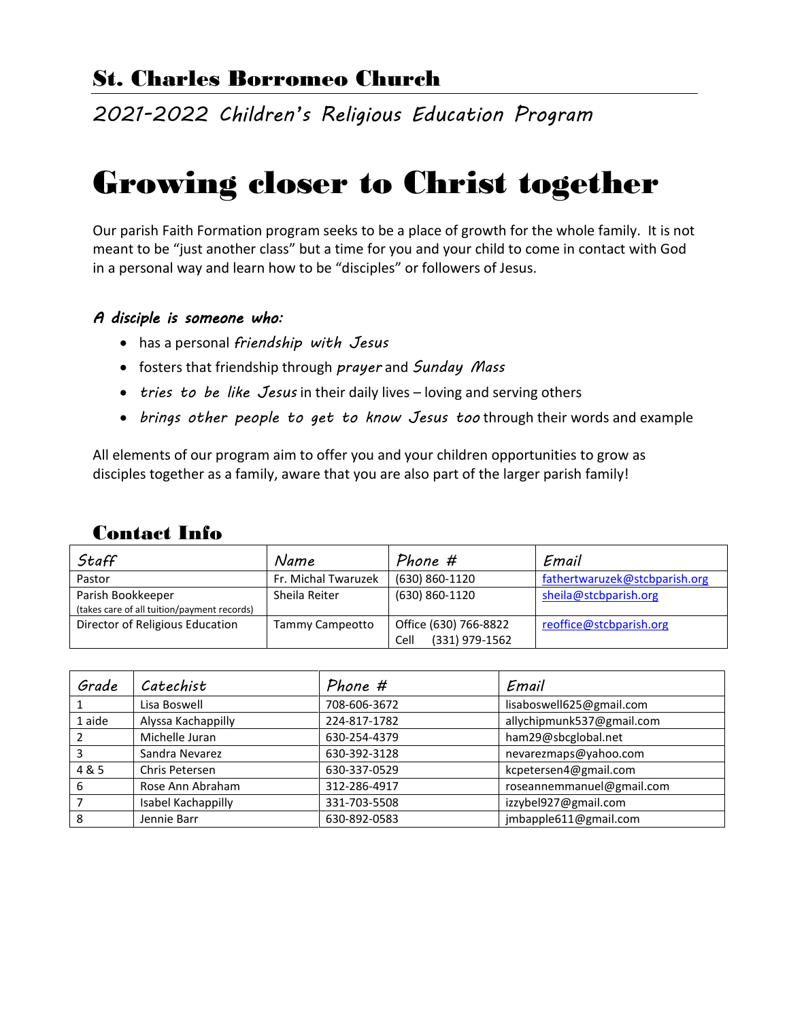# St. Charles Borromeo Church

*2021-2022 Children's Religious Education Program*

# Growing closer to Christ together

Our parish Faith Formation program seeks to be a place of growth for the whole family. It is not meant to be "just another class" but a time for you and your child to come in contact with God in a personal way and learn how to be "disciples" or followers of Jesus.

#### *A disciple is someone who:*

- has a personal *friendship with Jesus*
- fosters that friendship through *prayer* and *Sunday Mass*
- *tries to be like Jesus* in their daily lives loving and serving others
- *brings other people to get to know Jesus too* through their words and example

All elements of our program aim to offer you and your children opportunities to grow as disciples together as a family, aware that you are also part of the larger parish family!

#### Contact Info

| Staff                                       | Name                | Phone #                | Email                         |
|---------------------------------------------|---------------------|------------------------|-------------------------------|
| Pastor                                      | Fr. Michal Twaruzek | (630) 860-1120         | fathertwaruzek@stcbparish.org |
| Parish Bookkeeper                           | Sheila Reiter       | (630) 860-1120         | sheila@stcbparish.org         |
| (takes care of all tuition/payment records) |                     |                        |                               |
| Director of Religious Education             | Tammy Campeotto     | Office (630) 766-8822  | reoffice@stcbparish.org       |
|                                             |                     | (331) 979-1562<br>Cell |                               |

| Grade  | Catechist          | Phone #      | Email                     |
|--------|--------------------|--------------|---------------------------|
|        | Lisa Boswell       | 708-606-3672 | lisaboswell625@gmail.com  |
| 1 aide | Alyssa Kachappilly | 224-817-1782 | allychipmunk537@gmail.com |
|        | Michelle Juran     | 630-254-4379 | ham29@sbcglobal.net       |
| 3      | Sandra Nevarez     | 630-392-3128 | nevarezmaps@yahoo.com     |
| 4 & 5  | Chris Petersen     | 630-337-0529 | kcpetersen4@gmail.com     |
| 6      | Rose Ann Abraham   | 312-286-4917 | roseannemmanuel@gmail.com |
|        | Isabel Kachappilly | 331-703-5508 | izzybel927@gmail.com      |
| 8      | Jennie Barr        | 630-892-0583 | jmbapple611@gmail.com     |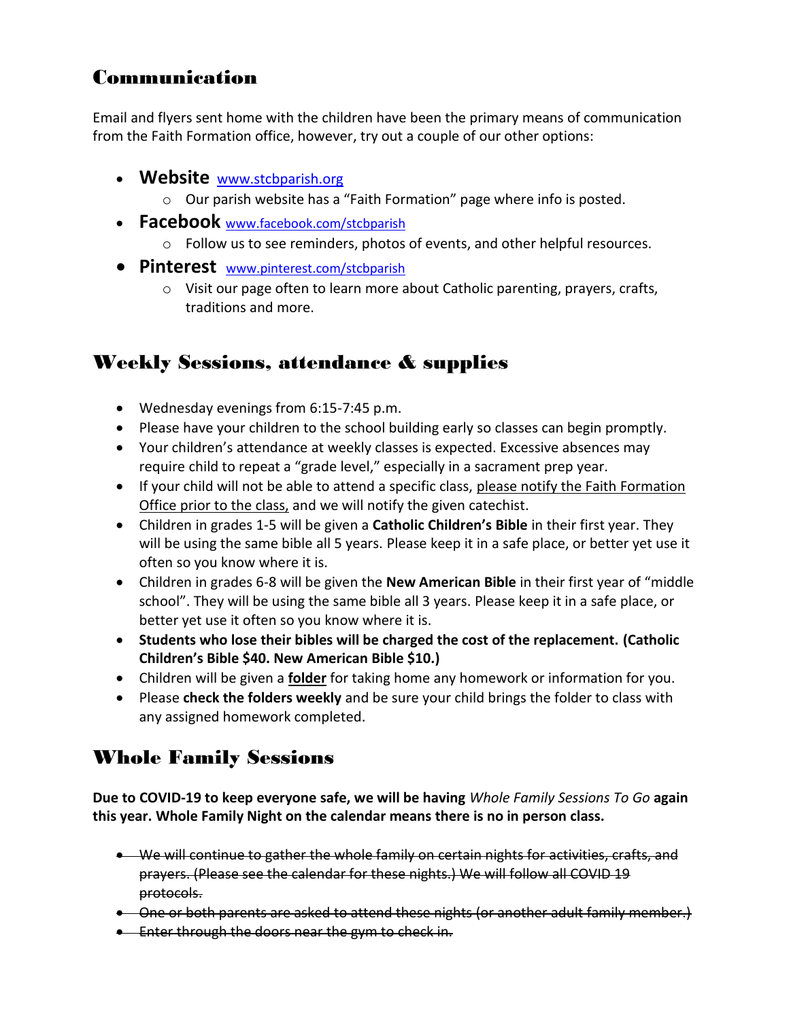### Communication

Email and flyers sent home with the children have been the primary means of communication from the Faith Formation office, however, try out a couple of our other options:

- **[Website](http://www.stcbparish.org/)** [www.stcbparish.org](http://www.stcbparish.org/)
	- o Our parish website has a "Faith Formation" page where info is posted.
- **Facebook** [www.facebook.com/stcbparish](http://www.facebook.com/stcbparish)
	- o Follow us to see reminders, photos of events, and other helpful resources.
- **Pinterest** [www.pinterest.com/stcbparish](http://www.pinterest.com/stcbparish)
	- $\circ$  Visit our page often to learn more about Catholic parenting, prayers, crafts, traditions and more.

# Weekly Sessions, attendance & supplies

- Wednesday evenings from 6:15-7:45 p.m.
- Please have your children to the school building early so classes can begin promptly.
- Your children's attendance at weekly classes is expected. Excessive absences may require child to repeat a "grade level," especially in a sacrament prep year.
- If your child will not be able to attend a specific class, please notify the Faith Formation Office prior to the class, and we will notify the given catechist.
- Children in grades 1-5 will be given a **Catholic Children's Bible** in their first year. They will be using the same bible all 5 years. Please keep it in a safe place, or better yet use it often so you know where it is.
- Children in grades 6-8 will be given the **New American Bible** in their first year of "middle school". They will be using the same bible all 3 years. Please keep it in a safe place, or better yet use it often so you know where it is.
- **Students who lose their bibles will be charged the cost of the replacement. (Catholic Children's Bible \$40. New American Bible \$10.)**
- Children will be given a **folder** for taking home any homework or information for you.
- Please **check the folders weekly** and be sure your child brings the folder to class with any assigned homework completed.

### Whole Family Sessions

**Due to COVID-19 to keep everyone safe, we will be having** *Whole Family Sessions To Go* **again this year. Whole Family Night on the calendar means there is no in person class.**

- We will continue to gather the whole family on certain nights for activities, crafts, and prayers. (Please see the calendar for these nights.) We will follow all COVID 19 protocols.
- One or both parents are asked to attend these nights (or another adult family member.)
- **Enter through the doors near the gym to check in.**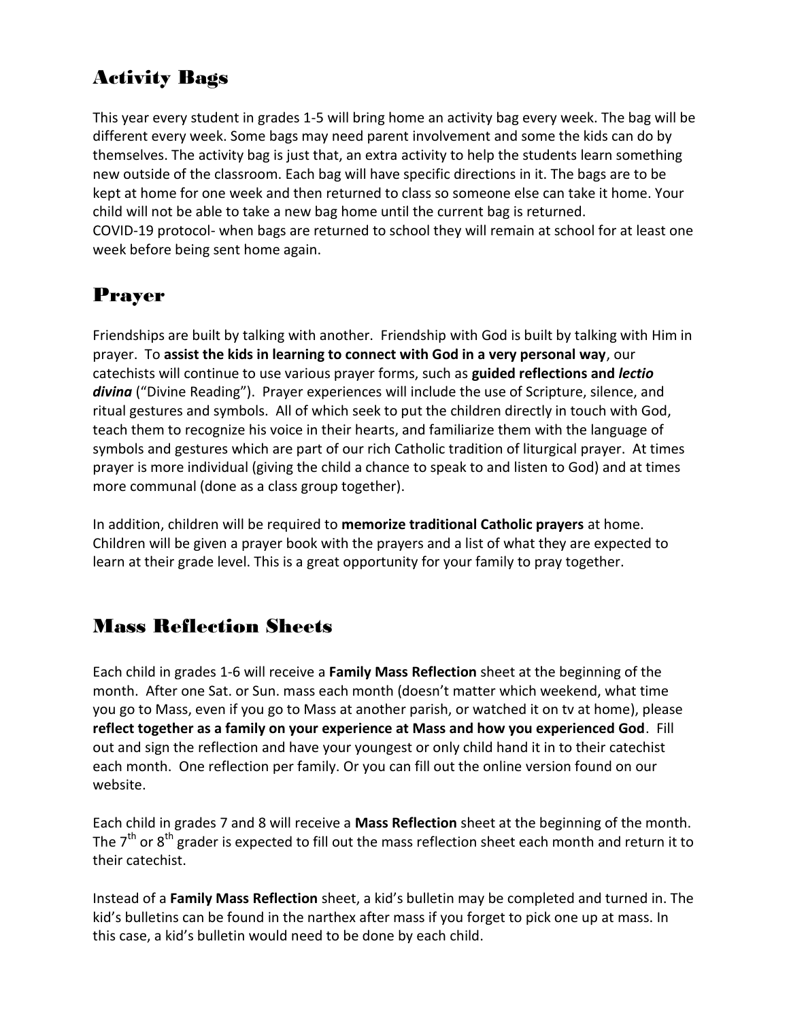# Activity Bags

This year every student in grades 1-5 will bring home an activity bag every week. The bag will be different every week. Some bags may need parent involvement and some the kids can do by themselves. The activity bag is just that, an extra activity to help the students learn something new outside of the classroom. Each bag will have specific directions in it. The bags are to be kept at home for one week and then returned to class so someone else can take it home. Your child will not be able to take a new bag home until the current bag is returned. COVID-19 protocol- when bags are returned to school they will remain at school for at least one week before being sent home again.

# Prayer

Friendships are built by talking with another. Friendship with God is built by talking with Him in prayer. To **assist the kids in learning to connect with God in a very personal way**, our catechists will continue to use various prayer forms, such as **guided reflections and** *lectio divina* ("Divine Reading"). Prayer experiences will include the use of Scripture, silence, and ritual gestures and symbols. All of which seek to put the children directly in touch with God, teach them to recognize his voice in their hearts, and familiarize them with the language of symbols and gestures which are part of our rich Catholic tradition of liturgical prayer. At times prayer is more individual (giving the child a chance to speak to and listen to God) and at times more communal (done as a class group together).

In addition, children will be required to **memorize traditional Catholic prayers** at home. Children will be given a prayer book with the prayers and a list of what they are expected to learn at their grade level. This is a great opportunity for your family to pray together.

### Mass Reflection Sheets

Each child in grades 1-6 will receive a **Family Mass Reflection** sheet at the beginning of the month. After one Sat. or Sun. mass each month (doesn't matter which weekend, what time you go to Mass, even if you go to Mass at another parish, or watched it on tv at home), please **reflect together as a family on your experience at Mass and how you experienced God**. Fill out and sign the reflection and have your youngest or only child hand it in to their catechist each month. One reflection per family. Or you can fill out the online version found on our website.

Each child in grades 7 and 8 will receive a **Mass Reflection** sheet at the beginning of the month. The  $7<sup>th</sup>$  or  $8<sup>th</sup>$  grader is expected to fill out the mass reflection sheet each month and return it to their catechist.

Instead of a **Family Mass Reflection** sheet, a kid's bulletin may be completed and turned in. The kid's bulletins can be found in the narthex after mass if you forget to pick one up at mass. In this case, a kid's bulletin would need to be done by each child.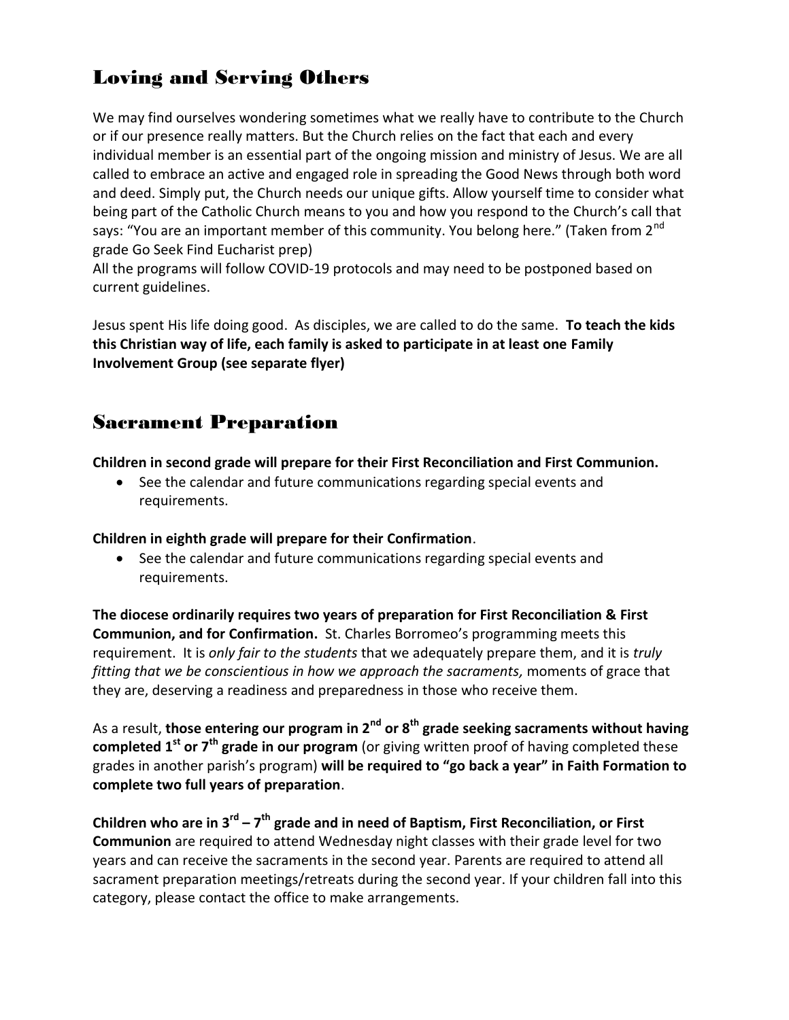## Loving and Serving Others

We may find ourselves wondering sometimes what we really have to contribute to the Church or if our presence really matters. But the Church relies on the fact that each and every individual member is an essential part of the ongoing mission and ministry of Jesus. We are all called to embrace an active and engaged role in spreading the Good News through both word and deed. Simply put, the Church needs our unique gifts. Allow yourself time to consider what being part of the Catholic Church means to you and how you respond to the Church's call that says: "You are an important member of this community. You belong here." (Taken from 2<sup>nd</sup> grade Go Seek Find Eucharist prep)

All the programs will follow COVID-19 protocols and may need to be postponed based on current guidelines.

Jesus spent His life doing good. As disciples, we are called to do the same. **To teach the kids this Christian way of life, each family is asked to participate in at least one Family Involvement Group (see separate flyer)**

#### Sacrament Preparation

**Children in second grade will prepare for their First Reconciliation and First Communion.**

 See the calendar and future communications regarding special events and requirements.

**Children in eighth grade will prepare for their Confirmation**.

• See the calendar and future communications regarding special events and requirements.

**The diocese ordinarily requires two years of preparation for First Reconciliation & First Communion, and for Confirmation.** St. Charles Borromeo's programming meets this requirement. It is *only fair to the students* that we adequately prepare them, and it is *truly fitting that we be conscientious in how we approach the sacraments,* moments of grace that they are, deserving a readiness and preparedness in those who receive them.

As a result, **those entering our program in 2nd or 8th grade seeking sacraments without having completed 1st or 7th grade in our program** (or giving written proof of having completed these grades in another parish's program) **will be required to "go back a year" in Faith Formation to complete two full years of preparation**.

**Children who are in 3rd – 7 th grade and in need of Baptism, First Reconciliation, or First Communion** are required to attend Wednesday night classes with their grade level for two years and can receive the sacraments in the second year. Parents are required to attend all sacrament preparation meetings/retreats during the second year. If your children fall into this category, please contact the office to make arrangements.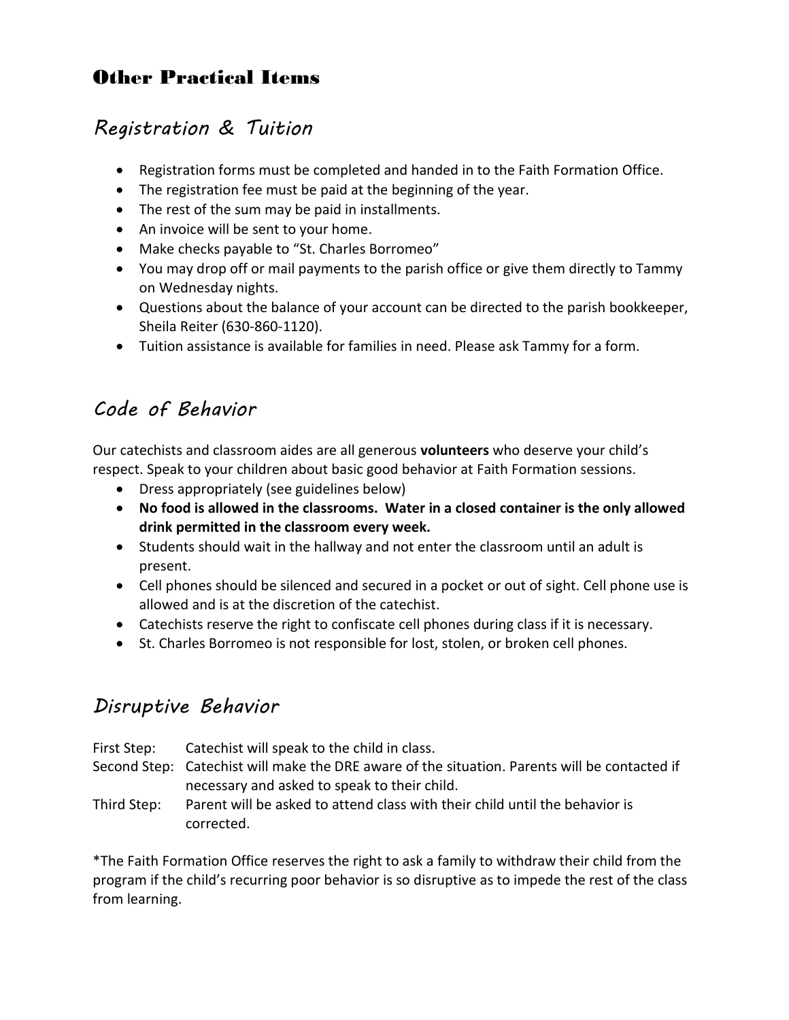# Other Practical Items

# *Registration & Tuition*

- Registration forms must be completed and handed in to the Faith Formation Office.
- The registration fee must be paid at the beginning of the year.
- The rest of the sum may be paid in installments.
- An invoice will be sent to your home.
- Make checks payable to "St. Charles Borromeo"
- You may drop off or mail payments to the parish office or give them directly to Tammy on Wednesday nights.
- Questions about the balance of your account can be directed to the parish bookkeeper, Sheila Reiter (630-860-1120).
- Tuition assistance is available for families in need. Please ask Tammy for a form.

# *Code of Behavior*

Our catechists and classroom aides are all generous **volunteers** who deserve your child's respect. Speak to your children about basic good behavior at Faith Formation sessions.

- Dress appropriately (see guidelines below)
- **No food is allowed in the classrooms. Water in a closed container is the only allowed drink permitted in the classroom every week.**
- Students should wait in the hallway and not enter the classroom until an adult is present.
- Cell phones should be silenced and secured in a pocket or out of sight. Cell phone use is allowed and is at the discretion of the catechist.
- Catechists reserve the right to confiscate cell phones during class if it is necessary.
- St. Charles Borromeo is not responsible for lost, stolen, or broken cell phones.

# *Disruptive Behavior*

| First Step: | Catechist will speak to the child in class.                                                   |
|-------------|-----------------------------------------------------------------------------------------------|
|             | Second Step: Catechist will make the DRE aware of the situation. Parents will be contacted if |
|             | necessary and asked to speak to their child.                                                  |
| Third Step: | Parent will be asked to attend class with their child until the behavior is                   |
|             | corrected.                                                                                    |

\*The Faith Formation Office reserves the right to ask a family to withdraw their child from the program if the child's recurring poor behavior is so disruptive as to impede the rest of the class from learning.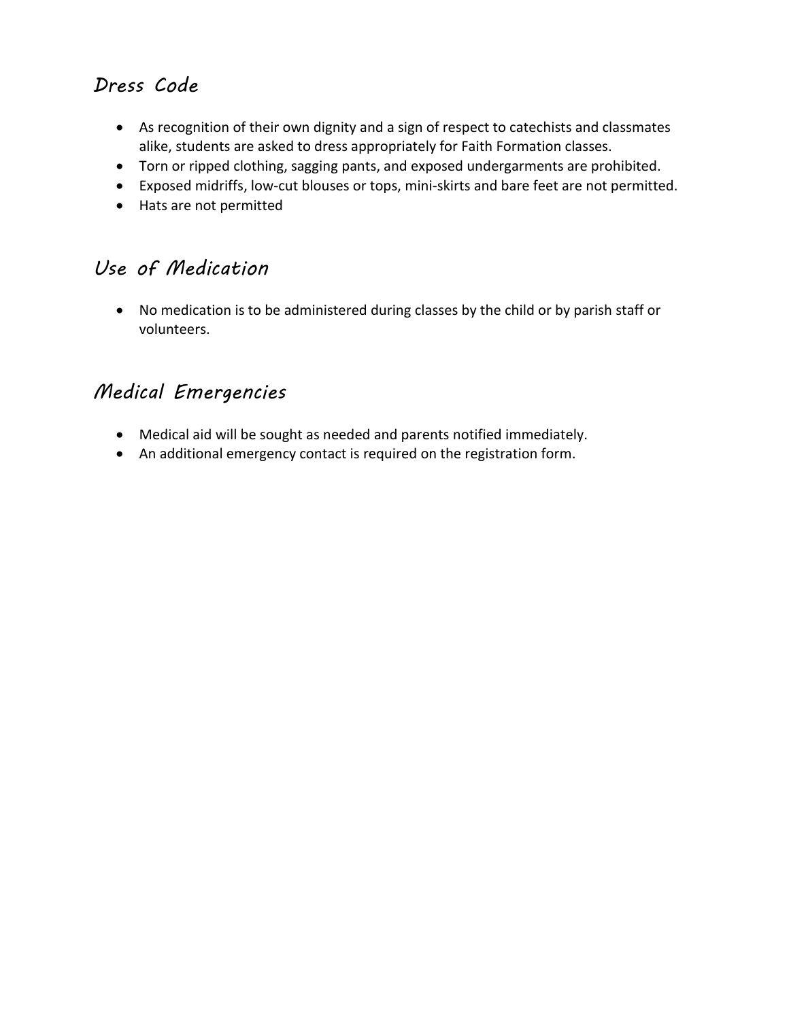# *Dress Code*

- As recognition of their own dignity and a sign of respect to catechists and classmates alike, students are asked to dress appropriately for Faith Formation classes.
- Torn or ripped clothing, sagging pants, and exposed undergarments are prohibited.
- Exposed midriffs, low-cut blouses or tops, mini-skirts and bare feet are not permitted.
- Hats are not permitted

# *Use of Medication*

 No medication is to be administered during classes by the child or by parish staff or volunteers.

# *Medical Emergencies*

- Medical aid will be sought as needed and parents notified immediately.
- An additional emergency contact is required on the registration form.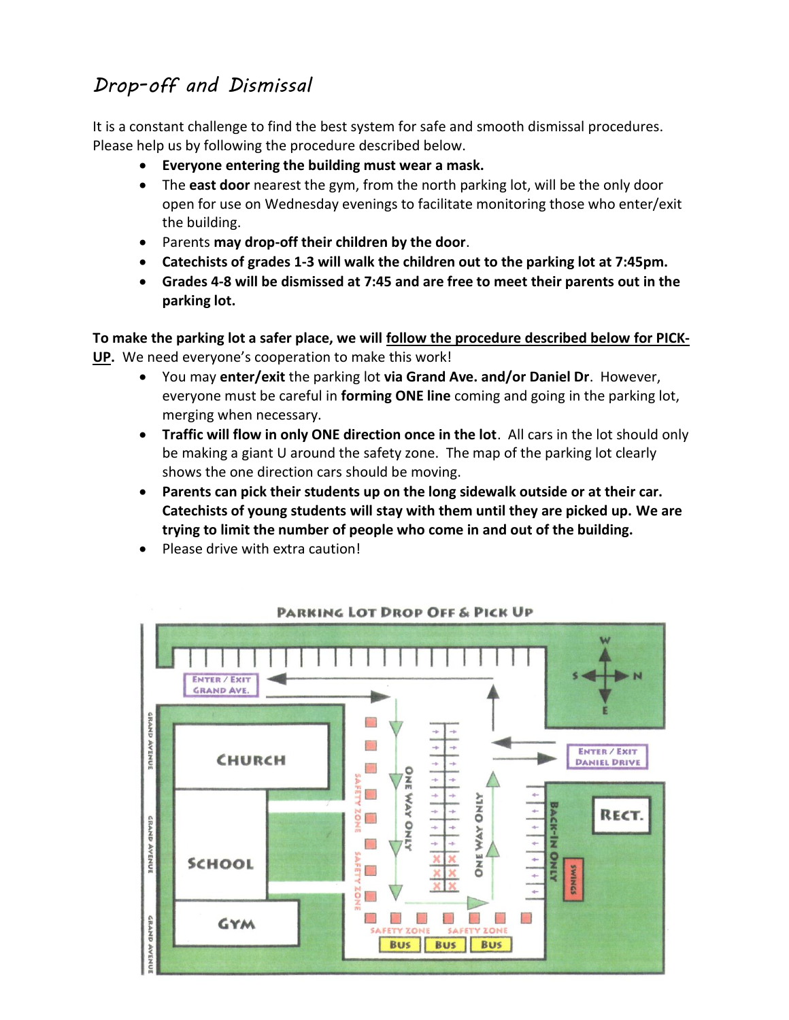# *Drop-off and Dismissal*

It is a constant challenge to find the best system for safe and smooth dismissal procedures. Please help us by following the procedure described below.

- **Everyone entering the building must wear a mask.**
- The **east door** nearest the gym, from the north parking lot, will be the only door open for use on Wednesday evenings to facilitate monitoring those who enter/exit the building.
- Parents **may drop-off their children by the door**.
- **Catechists of grades 1-3 will walk the children out to the parking lot at 7:45pm.**
- **Grades 4-8 will be dismissed at 7:45 and are free to meet their parents out in the parking lot.**

**To make the parking lot a safer place, we will follow the procedure described below for PICK-UP.** We need everyone's cooperation to make this work!

- You may **enter/exit** the parking lot **via Grand Ave. and/or Daniel Dr**. However, everyone must be careful in **forming ONE line** coming and going in the parking lot, merging when necessary.
- **Traffic will flow in only ONE direction once in the lot**. All cars in the lot should only be making a giant U around the safety zone. The map of the parking lot clearly shows the one direction cars should be moving.
- **Parents can pick their students up on the long sidewalk outside or at their car. Catechists of young students will stay with them until they are picked up. We are trying to limit the number of people who come in and out of the building.**
- Please drive with extra caution!



#### **PARKING LOT DROP OFF & PICK UP**